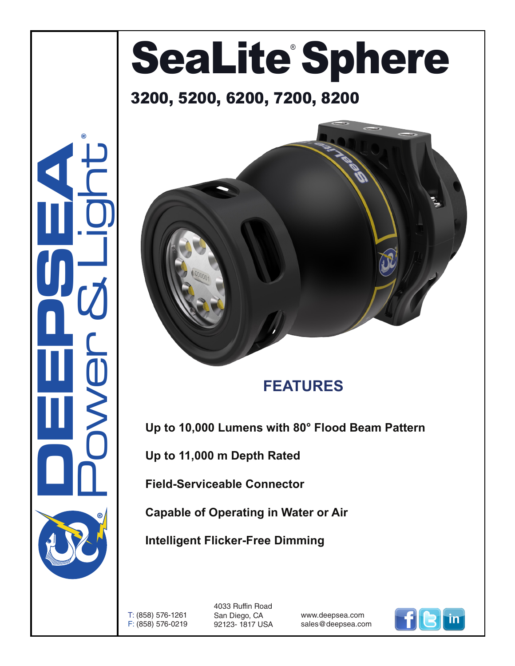# SeaLite Sphere

#### 3200, 5200, 6200, 7200, 8200





#### **FEATURES**

**Up to 10,000 Lumens with 80° Flood Beam Pattern**

**Up to 11,000 m Depth Rated**

**Field-Serviceable Connector**

**Capable of Operating in Water or Air**

**Intelligent Flicker-Free Dimming**

T: (858) 576-1261 F: (858) 576-0219

4033 Ruffin Road San Diego, CA 92123- 1817 USA

www.deepsea.com sales@deepsea.com

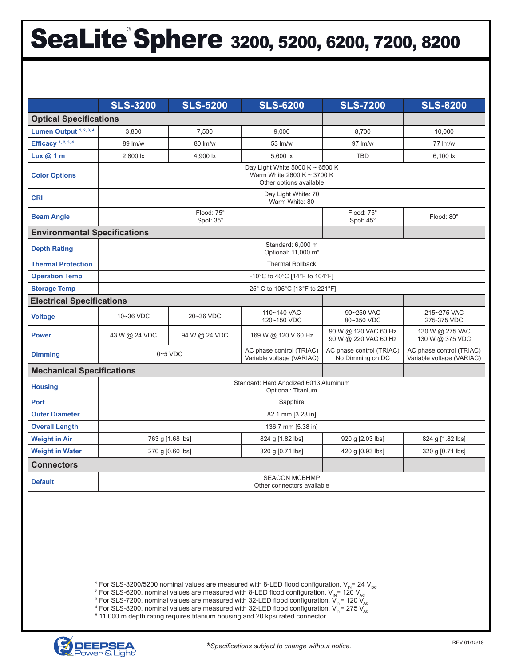## SeaLite<sup>®</sup> Sphere 3200, 5200, 6200, 7200, 8200

|                                     | <b>SLS-3200</b>                                                                          | <b>SLS-5200</b> | <b>SLS-6200</b>                                       | <b>SLS-7200</b>                              | <b>SLS-8200</b>                                       |
|-------------------------------------|------------------------------------------------------------------------------------------|-----------------|-------------------------------------------------------|----------------------------------------------|-------------------------------------------------------|
| <b>Optical Specifications</b>       |                                                                                          |                 |                                                       |                                              |                                                       |
| Lumen Output 1, 2, 3, 4             | 3,800                                                                                    | 7,500           | 9,000                                                 | 8,700                                        | 10,000                                                |
| Efficacy <sup>1, 2, 3, 4</sup>      | 89 lm/w                                                                                  | 80 lm/w         | 53 lm/w                                               | $97 \,$ lm/w                                 | $77 \,$ lm/w                                          |
| Lux@1m                              | 2,800 lx                                                                                 | 4,900 lx        | 5.600 lx                                              | <b>TBD</b>                                   | 6.100 lx                                              |
| <b>Color Options</b>                | Day Light White 5000 K ~ 6500 K<br>Warm White 2600 K ~ 3700 K<br>Other options available |                 |                                                       |                                              |                                                       |
| <b>CRI</b>                          | Day Light White: 70<br>Warm White: 80                                                    |                 |                                                       |                                              |                                                       |
| <b>Beam Angle</b>                   | Flood: 75°<br>Spot: 35°                                                                  |                 |                                                       | Flood: 75°<br>Spot: 45°                      | Flood: 80°                                            |
| <b>Environmental Specifications</b> |                                                                                          |                 |                                                       |                                              |                                                       |
| <b>Depth Rating</b>                 | Standard: 6.000 m<br>Optional: 11,000 m <sup>5</sup>                                     |                 |                                                       |                                              |                                                       |
| <b>Thermal Protection</b>           | <b>Thermal Rollback</b>                                                                  |                 |                                                       |                                              |                                                       |
| <b>Operation Temp</b>               | -10°C to 40°C [14°F to 104°F]                                                            |                 |                                                       |                                              |                                                       |
| <b>Storage Temp</b>                 | -25° C to 105°C [13°F to 221°F]                                                          |                 |                                                       |                                              |                                                       |
| <b>Electrical Specifications</b>    |                                                                                          |                 |                                                       |                                              |                                                       |
| <b>Voltage</b>                      | 10~36 VDC                                                                                | 20~36 VDC       | 110~140 VAC<br>120~150 VDC                            | 90~250 VAC<br>80~350 VDC                     | 215~275 VAC<br>275-375 VDC                            |
| <b>Power</b>                        | 43 W @ 24 VDC                                                                            | 94 W @ 24 VDC   | 169 W @ 120 V 60 Hz                                   | 90 W @ 120 VAC 60 Hz<br>90 W @ 220 VAC 60 Hz | 130 W @ 275 VAC<br>130 W @ 375 VDC                    |
| <b>Dimming</b>                      | $0 - 5$ VDC                                                                              |                 | AC phase control (TRIAC)<br>Variable voltage (VARIAC) | AC phase control (TRIAC)<br>No Dimming on DC | AC phase control (TRIAC)<br>Variable voltage (VARIAC) |
| <b>Mechanical Specifications</b>    |                                                                                          |                 |                                                       |                                              |                                                       |
| <b>Housing</b>                      | Standard: Hard Anodized 6013 Aluminum<br>Optional: Titanium                              |                 |                                                       |                                              |                                                       |
| Port                                | Sapphire                                                                                 |                 |                                                       |                                              |                                                       |
| <b>Outer Diameter</b>               | 82.1 mm [3.23 in]                                                                        |                 |                                                       |                                              |                                                       |
| <b>Overall Length</b>               | 136.7 mm [5.38 in]                                                                       |                 |                                                       |                                              |                                                       |
| <b>Weight in Air</b>                | 763 g [1.68 lbs]                                                                         |                 | 824 g [1.82 lbs]                                      | 920 g [2.03 lbs]                             | 824 g [1.82 lbs]                                      |
| <b>Weight in Water</b>              | 270 g [0.60 lbs]                                                                         |                 | 320 g [0.71 lbs]                                      | 420 g [0.93 lbs]                             | 320 g [0.71 lbs]                                      |
| <b>Connectors</b>                   |                                                                                          |                 |                                                       |                                              |                                                       |
| <b>Default</b>                      | <b>SEACON MCBHMP</b><br>Other connectors available                                       |                 |                                                       |                                              |                                                       |

 $^1$  For SLS-3200/5200 nominal values are measured with 8-LED flood configuration, V<sub>IN</sub>= 24 V<sub>DC</sub><br>2 For SLS-6200, nominal values are measured with 8-LED flood configuration, V, = 120 V

 $^2$  For SLS-6200, nominal values are measured with 8-LED flood configuration, V<sub>IN</sub>= 120 V<sub>AC</sub><br><sup>3</sup> For SLS-7200, nominal values are measured with 32-LED flood configuration, V, = 120 V

 $^3$  For SLS-7200, nominal values are measured with 32-LED flood configuration, V<sub>IN</sub>= 120 V<sub>AC</sub><br>4 For SLS-8200, nominal values are measured with 32-LED flood configuration, V = 275 V

 $^{4}$  For SLS-8200, nominal values are measured with 32-LED flood configuration, V<sub>IN</sub>= 275 V<sub>AC</sub><br><sup>5</sup> 11,000 m denth rating requires titanium bousing and 20 knsi rated connector

<sup>5</sup> 11,000 m depth rating requires titanium housing and 20 kpsi rated connector